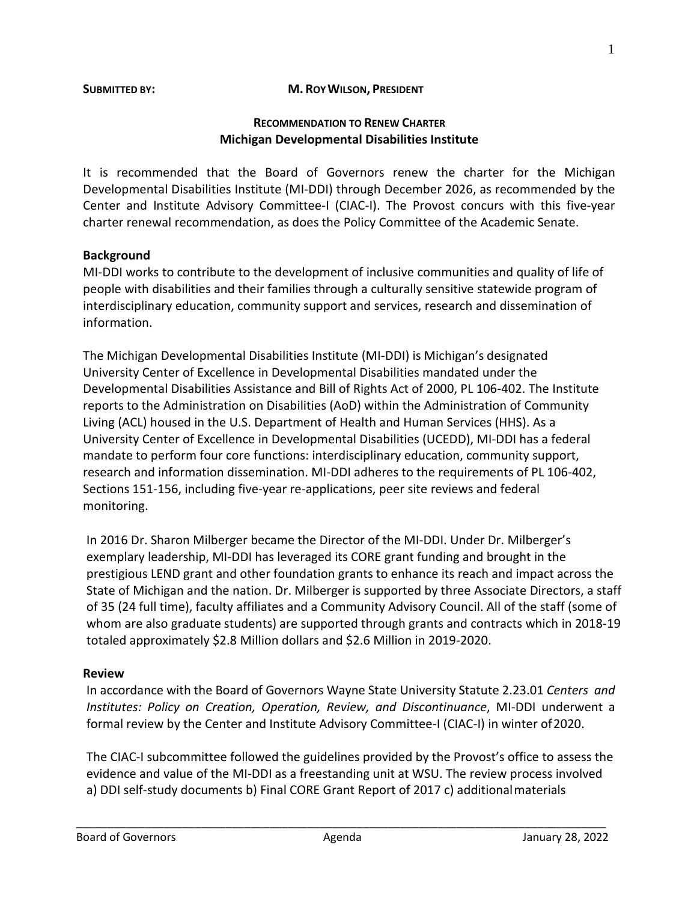#### **SUBMITTED BY: M. ROYWILSON, PRESIDENT**

#### **RECOMMENDATION TO RENEW CHARTER Michigan Developmental Disabilities Institute**

It is recommended that the Board of Governors renew the charter for the Michigan Developmental Disabilities Institute (MI-DDI) through December 2026, as recommended by the Center and Institute Advisory Committee-I (CIAC-I). The Provost concurs with this five-year charter renewal recommendation, as does the Policy Committee of the Academic Senate.

### **Background**

MI-DDI works to contribute to the development of inclusive communities and quality of life of people with disabilities and their families through a culturally sensitive statewide program of interdisciplinary education, community support and services, research and dissemination of information.

The Michigan Developmental Disabilities Institute (MI-DDI) is Michigan's designated University Center of Excellence in Developmental Disabilities mandated under the Developmental Disabilities Assistance and Bill of Rights Act of 2000, PL 106-402. The Institute reports to the Administration on Disabilities (AoD) within the Administration of Community Living (ACL) housed in the U.S. Department of Health and Human Services (HHS). As a University Center of Excellence in Developmental Disabilities (UCEDD), MI-DDI has a federal mandate to perform four core functions: interdisciplinary education, community support, research and information dissemination. MI-DDI adheres to the requirements of PL 106-402, Sections 151-156, including five-year re-applications, peer site reviews and federal monitoring.

In 2016 Dr. Sharon Milberger became the Director of the MI-DDI. Under Dr. Milberger's exemplary leadership, MI-DDI has leveraged its CORE grant funding and brought in the prestigious LEND grant and other foundation grants to enhance its reach and impact across the State of Michigan and the nation. Dr. Milberger is supported by three Associate Directors, a staff of 35 (24 full time), faculty affiliates and a Community Advisory Council. All of the staff (some of whom are also graduate students) are supported through grants and contracts which in 2018-19 totaled approximately \$2.8 Million dollars and \$2.6 Million in 2019-2020.

### **Review**

In accordance with the Board of Governors Wayne State University Statute 2.23.01 *Centers and Institutes: Policy on Creation, Operation, Review, and Discontinuance*, MI-DDI underwent a formal review by the Center and Institute Advisory Committee-I (CIAC-I) in winter of2020.

The CIAC-I subcommittee followed the guidelines provided by the Provost's office to assess the evidence and value of the MI-DDI as a freestanding unit at WSU. The review process involved a) DDI self-study documents b) Final CORE Grant Report of 2017 c) additionalmaterials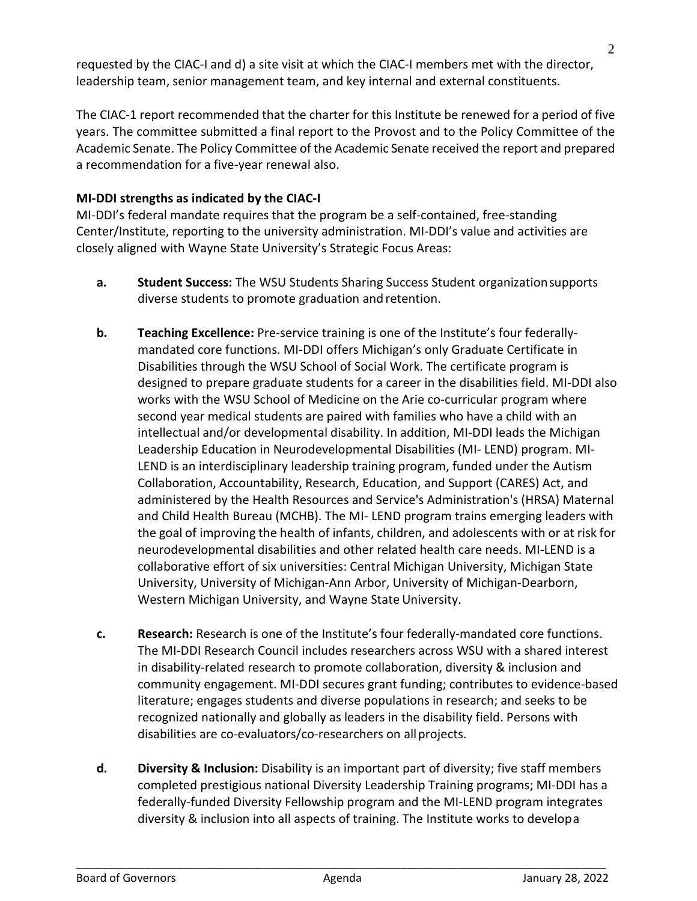requested by the CIAC-I and d) a site visit at which the CIAC-I members met with the director, leadership team, senior management team, and key internal and external constituents.

The CIAC-1 report recommended that the charter for this Institute be renewed for a period of five years. The committee submitted a final report to the Provost and to the Policy Committee of the Academic Senate. The Policy Committee of the Academic Senate received the report and prepared a recommendation for a five-year renewal also.

## **MI-DDI strengths as indicated by the CIAC-I**

MI-DDI's federal mandate requires that the program be a self-contained, free-standing Center/Institute, reporting to the university administration. MI-DDI's value and activities are closely aligned with Wayne State University's Strategic Focus Areas:

- **a. Student Success:** The WSU Students Sharing Success Student organizationsupports diverse students to promote graduation and retention.
- **b. Teaching Excellence:** Pre-service training is one of the Institute's four federallymandated core functions. MI-DDI offers Michigan's only Graduate Certificate in Disabilities through the WSU School of Social Work. The certificate program is designed to prepare graduate students for a career in the disabilities field. MI-DDI also works with the WSU School of Medicine on the Arie co-curricular program where second year medical students are paired with families who have a child with an intellectual and/or developmental disability. In addition, MI-DDI leads the Michigan Leadership Education in Neurodevelopmental Disabilities (MI- LEND) program. MI-LEND is an interdisciplinary leadership training program, funded under the Autism Collaboration, Accountability, Research, Education, and Support (CARES) Act, and administered by the Health Resources and Service's Administration's (HRSA) Maternal and Child Health Bureau (MCHB). The MI- LEND program trains emerging leaders with the goal of improving the health of infants, children, and adolescents with or at risk for neurodevelopmental disabilities and other related health care needs. MI-LEND is a collaborative effort of six universities: Central Michigan University, Michigan State University, University of Michigan-Ann Arbor, University of Michigan-Dearborn, Western Michigan University, and Wayne State University.
- **c. Research:** Research is one of the Institute's four federally-mandated core functions. The MI-DDI Research Council includes researchers across WSU with a shared interest in disability-related research to promote collaboration, diversity & inclusion and community engagement. MI-DDI secures grant funding; contributes to evidence-based literature; engages students and diverse populations in research; and seeks to be recognized nationally and globally as leaders in the disability field. Persons with disabilities are co-evaluators/co-researchers on allprojects.
- **d. Diversity & Inclusion:** Disability is an important part of diversity; five staff members completed prestigious national Diversity Leadership Training programs; MI-DDI has a federally-funded Diversity Fellowship program and the MI-LEND program integrates diversity & inclusion into all aspects of training. The Institute works to developa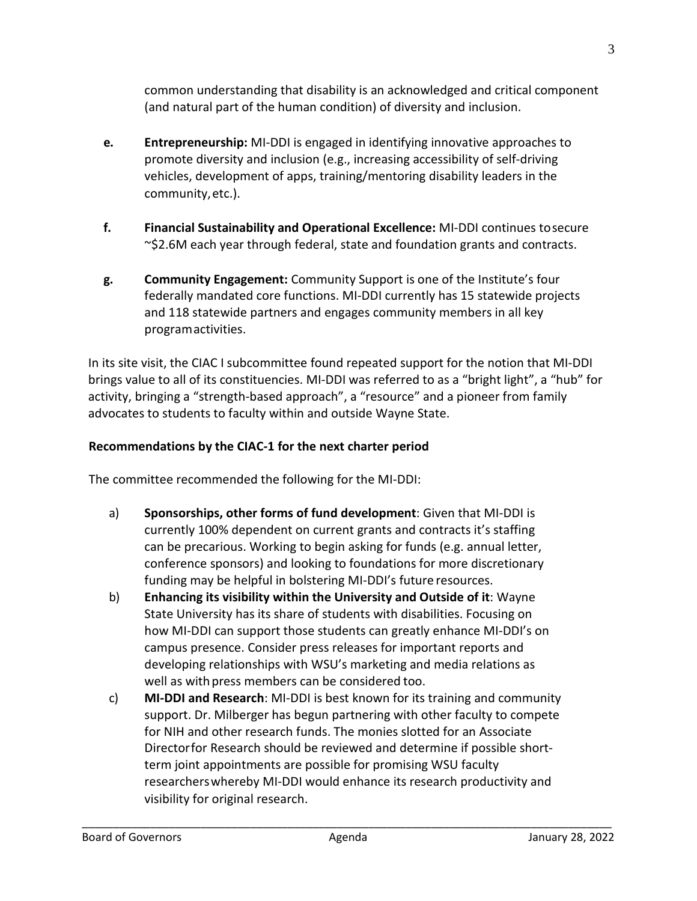common understanding that disability is an acknowledged and critical component (and natural part of the human condition) of diversity and inclusion.

- **e. Entrepreneurship:** MI-DDI is engaged in identifying innovative approaches to promote diversity and inclusion (e.g., increasing accessibility of self-driving vehicles, development of apps, training/mentoring disability leaders in the community,etc.).
- **f. Financial Sustainability and Operational Excellence:** MI-DDI continues tosecure ~\$2.6M each year through federal, state and foundation grants and contracts.
- **g. Community Engagement:** Community Support is one of the Institute's four federally mandated core functions. MI-DDI currently has 15 statewide projects and 118 statewide partners and engages community members in all key programactivities.

In its site visit, the CIAC I subcommittee found repeated support for the notion that MI-DDI brings value to all of its constituencies. MI-DDI was referred to as a "bright light", a "hub" for activity, bringing a "strength-based approach", a "resource" and a pioneer from family advocates to students to faculty within and outside Wayne State.

# **Recommendations by the CIAC-1 for the next charter period**

The committee recommended the following for the MI-DDI:

- a) **Sponsorships, other forms of fund development**: Given that MI-DDI is currently 100% dependent on current grants and contracts it's staffing can be precarious. Working to begin asking for funds (e.g. annual letter, conference sponsors) and looking to foundations for more discretionary funding may be helpful in bolstering MI-DDI's future resources.
- b) **Enhancing its visibility within the University and Outside of it**: Wayne State University has its share of students with disabilities. Focusing on how MI-DDI can support those students can greatly enhance MI-DDI's on campus presence. Consider press releases for important reports and developing relationships with WSU's marketing and media relations as well as with press members can be considered too.
- c) **MI-DDI and Research**: MI-DDI is best known for its training and community support. Dr. Milberger has begun partnering with other faculty to compete for NIH and other research funds. The monies slotted for an Associate Directorfor Research should be reviewed and determine if possible shortterm joint appointments are possible for promising WSU faculty researcherswhereby MI-DDI would enhance its research productivity and visibility for original research.